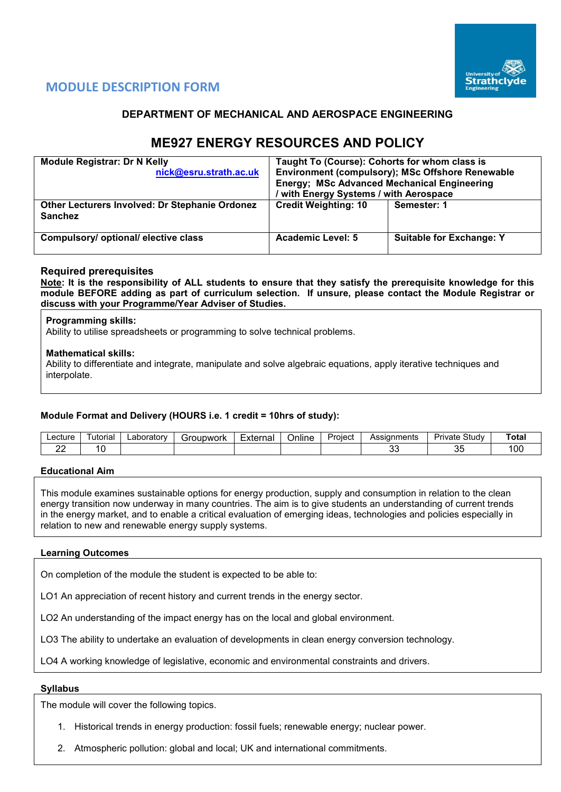

# **MODULE DESCRIPTION FORM**

# **DEPARTMENT OF MECHANICAL AND AEROSPACE ENGINEERING**

# **ME927 ENERGY RESOURCES AND POLICY**

| <b>Module Registrar: Dr N Kelly</b><br>nick@esru.strath.ac.uk    | Taught To (Course): Cohorts for whom class is<br><b>Energy; MSc Advanced Mechanical Engineering</b><br>/ with Energy Systems / with Aerospace | <b>Environment (compulsory); MSc Offshore Renewable</b> |
|------------------------------------------------------------------|-----------------------------------------------------------------------------------------------------------------------------------------------|---------------------------------------------------------|
| Other Lecturers Involved: Dr Stephanie Ordonez<br><b>Sanchez</b> | <b>Credit Weighting: 10</b>                                                                                                                   | Semester: 1                                             |
| Compulsory/ optional/ elective class                             | Academic Level: 5                                                                                                                             | <b>Suitable for Exchange: Y</b>                         |

# **Required prerequisites**

**Note: It is the responsibility of ALL students to ensure that they satisfy the prerequisite knowledge for this module BEFORE adding as part of curriculum selection. If unsure, please contact the Module Registrar or discuss with your Programme/Year Adviser of Studies.**

#### **Programming skills:**

Ability to utilise spreadsheets or programming to solve technical problems.

#### **Mathematical skills:**

Ability to differentiate and integrate, manipulate and solve algebraic equations, apply iterative techniques and interpolate.

#### **Module Format and Delivery (HOURS i.e. 1 credit = 10hrs of study):**

| ∟ecture | utorial | ∟aboratorv | Jubwork<br>∵r∩i. | External | $\cdot$ .<br>Online | Project | <b>\ssignments</b> | $\sim$<br>Study<br>Private | Total |
|---------|---------|------------|------------------|----------|---------------------|---------|--------------------|----------------------------|-------|
| $\sim$  |         |            |                  |          |                     |         | $\sim$<br>vu       | v                          | 00    |

#### **Educational Aim**

This module examines sustainable options for energy production, supply and consumption in relation to the clean energy transition now underway in many countries. The aim is to give students an understanding of current trends in the energy market, and to enable a critical evaluation of emerging ideas, technologies and policies especially in relation to new and renewable energy supply systems.

#### **Learning Outcomes**

On completion of the module the student is expected to be able to:

LO1 An appreciation of recent history and current trends in the energy sector.

LO2 An understanding of the impact energy has on the local and global environment.

LO3 The ability to undertake an evaluation of developments in clean energy conversion technology.

LO4 A working knowledge of legislative, economic and environmental constraints and drivers.

#### **Syllabus**

The module will cover the following topics.

- 1. Historical trends in energy production: fossil fuels; renewable energy; nuclear power.
- 2. Atmospheric pollution: global and local; UK and international commitments.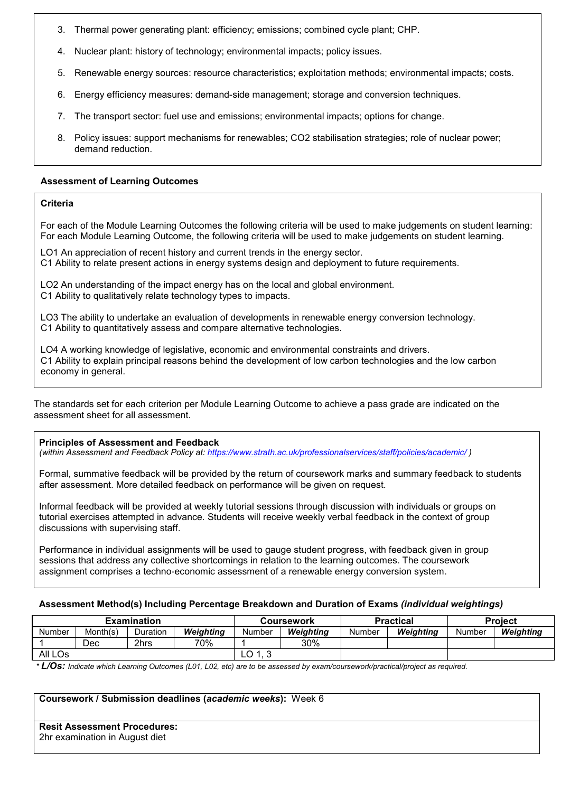- 3. Thermal power generating plant: efficiency; emissions; combined cycle plant; CHP.
- 4. Nuclear plant: history of technology; environmental impacts; policy issues.
- 5. Renewable energy sources: resource characteristics; exploitation methods; environmental impacts; costs.
- 6. Energy efficiency measures: demand-side management; storage and conversion techniques.
- 7. The transport sector: fuel use and emissions; environmental impacts; options for change.
- 8. Policy issues: support mechanisms for renewables; CO2 stabilisation strategies; role of nuclear power; demand reduction.

## **Assessment of Learning Outcomes**

### **Criteria**

For each of the Module Learning Outcomes the following criteria will be used to make judgements on student learning: For each Module Learning Outcome, the following criteria will be used to make judgements on student learning.

LO1 An appreciation of recent history and current trends in the energy sector. C1 Ability to relate present actions in energy systems design and deployment to future requirements.

LO2 An understanding of the impact energy has on the local and global environment. C1 Ability to qualitatively relate technology types to impacts.

LO3 The ability to undertake an evaluation of developments in renewable energy conversion technology. C1 Ability to quantitatively assess and compare alternative technologies.

LO4 A working knowledge of legislative, economic and environmental constraints and drivers. C1 Ability to explain principal reasons behind the development of low carbon technologies and the low carbon economy in general.

The standards set for each criterion per Module Learning Outcome to achieve a pass grade are indicated on the assessment sheet for all assessment.

#### **Principles of Assessment and Feedback**

*(within Assessment and Feedback Policy at: <https://www.strath.ac.uk/professionalservices/staff/policies/academic/> )*

Formal, summative feedback will be provided by the return of coursework marks and summary feedback to students after assessment. More detailed feedback on performance will be given on request.

Informal feedback will be provided at weekly tutorial sessions through discussion with individuals or groups on tutorial exercises attempted in advance. Students will receive weekly verbal feedback in the context of group discussions with supervising staff.

Performance in individual assignments will be used to gauge student progress, with feedback given in group sessions that address any collective shortcomings in relation to the learning outcomes. The coursework assignment comprises a techno-economic assessment of a renewable energy conversion system.

# **Assessment Method(s) Including Percentage Breakdown and Duration of Exams** *(individual weightings)*

|         |          | <b>Examination</b> |           |        | <b>Coursework</b> |        | <b>Practical</b> | <b>Project</b> |           |  |
|---------|----------|--------------------|-----------|--------|-------------------|--------|------------------|----------------|-----------|--|
| Number  | Month(s) | Duration           | Weighting | Number | Weiahtina         | Number | Weiahtina        | Number         | Weighting |  |
|         | Dec      | 2hrs               | 70%       |        | 30%               |        |                  |                |           |  |
| All LOs |          |                    |           | LO     |                   |        |                  |                |           |  |

*\* L/Os: Indicate which Learning Outcomes (L01, L02, etc) are to be assessed by exam/coursework/practical/project as required.*

#### **Coursework / Submission deadlines (***academic weeks***):** Week 6

| <b>Resit Assessment Procedures:</b> |  |
|-------------------------------------|--|
| 2hr examination in August diet      |  |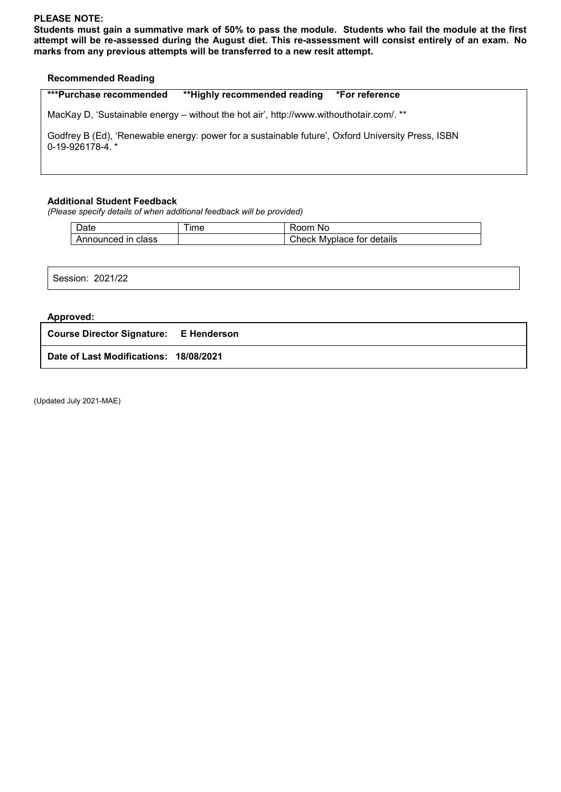## **PLEASE NOTE:**

**Students must gain a summative mark of 50% to pass the module. Students who fail the module at the first attempt will be re-assessed during the August diet. This re-assessment will consist entirely of an exam. No marks from any previous attempts will be transferred to a new resit attempt.**

# **Recommended Reading**

| <b>***Purchase recommended</b> | **Highly recommended reading | *For reference |
|--------------------------------|------------------------------|----------------|
|--------------------------------|------------------------------|----------------|

MacKay D, 'Sustainable energy – without the hot air', http://www.withouthotair.com/. \*\*

Godfrey B (Ed), 'Renewable energy: power for a sustainable future', Oxford University Press, ISBN 0-19-926178-4. \*

#### **Additional Student Feedback**

*(Please specify details of when additional feedback will be provided)*

| Date               | ime | Room No                   |
|--------------------|-----|---------------------------|
| Announced in class |     | Check Myplace for details |

Session: 2021/22

### **Approved:**

**Course Director Signature: E Henderson**

**Date of Last Modifications: 18/08/2021**

(Updated July 2021-MAE)